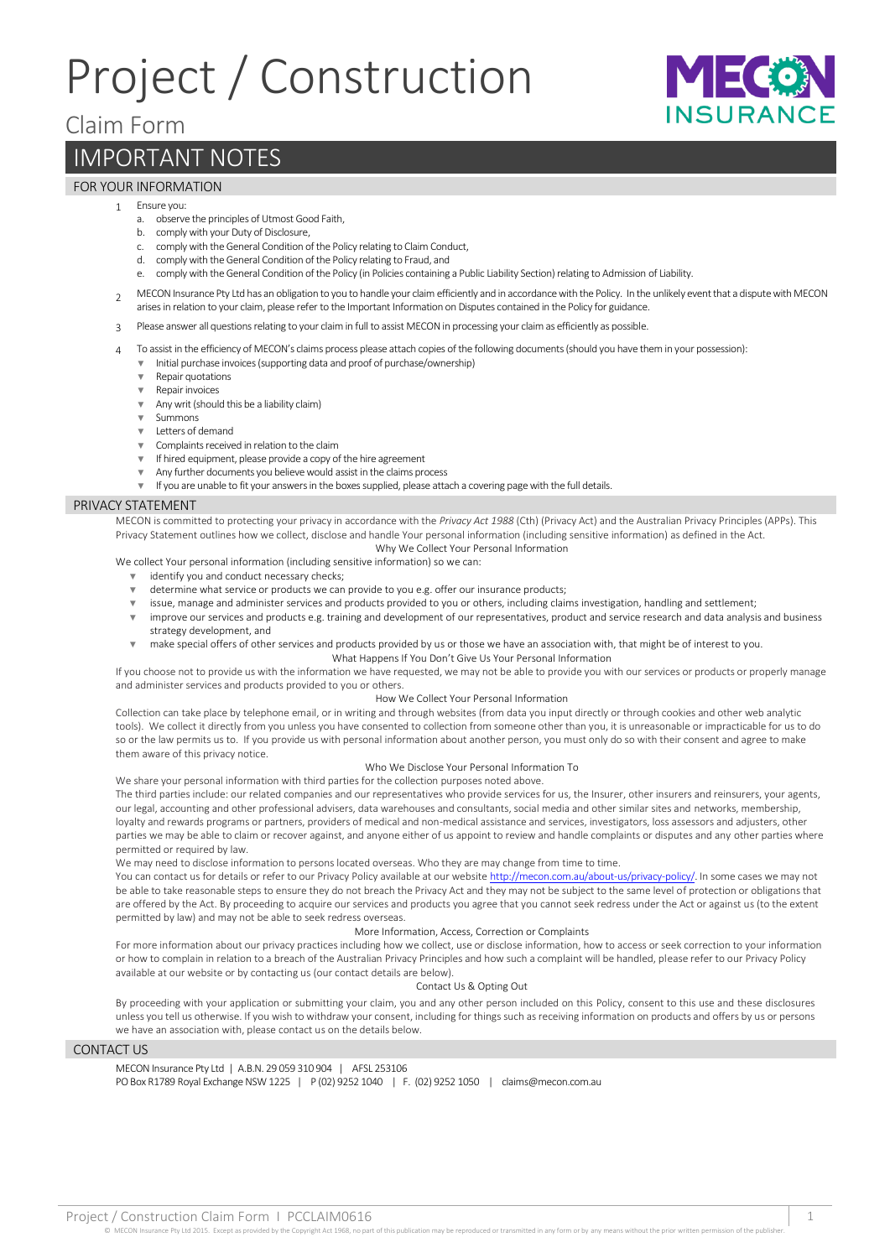# Project / Construction



## Claim Form

# IMPORTANT NOTES

### FOR YOUR INFORMATION

- 1 Ensure you:
	- a. observe the principles of Utmost Good Faith,
	- b. comply with your Duty of Disclosure,
	- c. comply with the General Condition of the Policy relating to Claim Conduct,
	- d. comply with the General Condition of the Policy relating to Fraud, and
	- e. comply with the General Condition of the Policy (in Policies containing a Public Liability Section) relating to Admission of Liability.
- $\alpha$  MECON Insurance Pty Ltd has an obligation to you to handle your claim efficiently and in accordance with the Policy. In the unlikely event that a dispute with MECON arises in relation to your claim, please refer to the Important Information on Disputes contained in the Policy for guidance.
- 3 Please answer all questions relating to your claim in full to assist MECON in processing your claim as efficiently as possible.
- 4 To assist in the efficiency of MECON's claims process please attach copies of the following documents (should you have them in your possession): ▼ Initial purchase invoices (supporting data and proof of purchase/ownership)
	- **Repair quotations**
	- Repair invoices
	- ▼ Any writ (should this be a liability claim)
	- ▼ Summons
	- ▼ Letters of demand
	- ▼ Complaints received in relation to the claim
	- ▼ If hired equipment, please provide a copy of the hire agreement
	- Any further documents you believe would assist in the claims process
	- If you are unable to fit your answers in the boxes supplied, please attach a covering page with the full details.

#### PRIVACY STATEMENT

MECON is committed to protecting your privacy in accordance with the *Privacy Act 1988* (Cth) (Privacy Act) and the Australian Privacy Principles (APPs). This Privacy Statement outlines how we collect, disclose and handle Your personal information (including sensitive information) as defined in the Act. Why We Collect Your Personal Information

We collect Your personal information (including sensitive information) so we can:

- ▼ identify you and conduct necessary checks;
- ▼ determine what service or products we can provide to you e.g. offer our insurance products;
- issue, manage and administer services and products provided to you or others, including claims investigation, handling and settlement;
- ▼ improve our services and products e.g. training and development of our representatives, product and service research and data analysis and business strategy development, and
- ▼ make special offers of other services and products provided by us or those we have an association with, that might be of interest to you. What Happens If You Don't Give Us Your Personal Information
- If you choose not to provide us with the information we have requested, we may not be able to provide you with our services or products or properly manage and administer services and products provided to you or others.

#### How We Collect Your Personal Information

Collection can take place by telephone email, or in writing and through websites (from data you input directly or through cookies and other web analytic tools). We collect it directly from you unless you have consented to collection from someone other than you, it is unreasonable or impracticable for us to do so or the law permits us to. If you provide us with personal information about another person, you must only do so with their consent and agree to make them aware of this privacy notice.

#### Who We Disclose Your Personal Information To

We share your personal information with third parties for the collection purposes noted above.

The third parties include: our related companies and our representatives who provide services for us, the Insurer, other insurers and reinsurers, your agents, our legal, accounting and other professional advisers, data warehouses and consultants, social media and other similar sites and networks, membership, loyalty and rewards programs or partners, providers of medical and non-medical assistance and services, investigators, loss assessors and adjusters, other parties we may be able to claim or recover against, and anyone either of us appoint to review and handle complaints or disputes and any other parties where permitted or required by law.

We may need to disclose information to persons located overseas. Who they are may change from time to time.

You can contact us for details or refer to our Privacy Policy available at our websit[e http://mecon.com.au/about-us/privacy-policy/.](http://mecon.com.au/about-us/privacy-policy/) In some cases we may not be able to take reasonable steps to ensure they do not breach the Privacy Act and they may not be subject to the same level of protection or obligations that are offered by the Act. By proceeding to acquire our services and products you agree that you cannot seek redress under the Act or against us (to the extent permitted by law) and may not be able to seek redress overseas.

#### More Information, Access, Correction or Complaints

For more information about our privacy practices including how we collect, use or disclose information, how to access or seek correction to your information or how to complain in relation to a breach of the Australian Privacy Principles and how such a complaint will be handled, please refer to our Privacy Policy available at our website or by contacting us (our contact details are below).

#### Contact Us & Opting Out

By proceeding with your application or submitting your claim, you and any other person included on this Policy, consent to this use and these disclosures unless you tell us otherwise. If you wish to withdraw your consent, including for things such as receiving information on products and offers by us or persons we have an association with, please contact us on the details below.

#### CONTACT US

MECON Insurance Pty Ltd | A.B.N. 29 059 310 904 | AFSL 253106 PO Box R1789 Royal Exchange NSW 1225 | P (02) 9252 1040 | F. (02) 9252 1050 | claims@mecon.com.au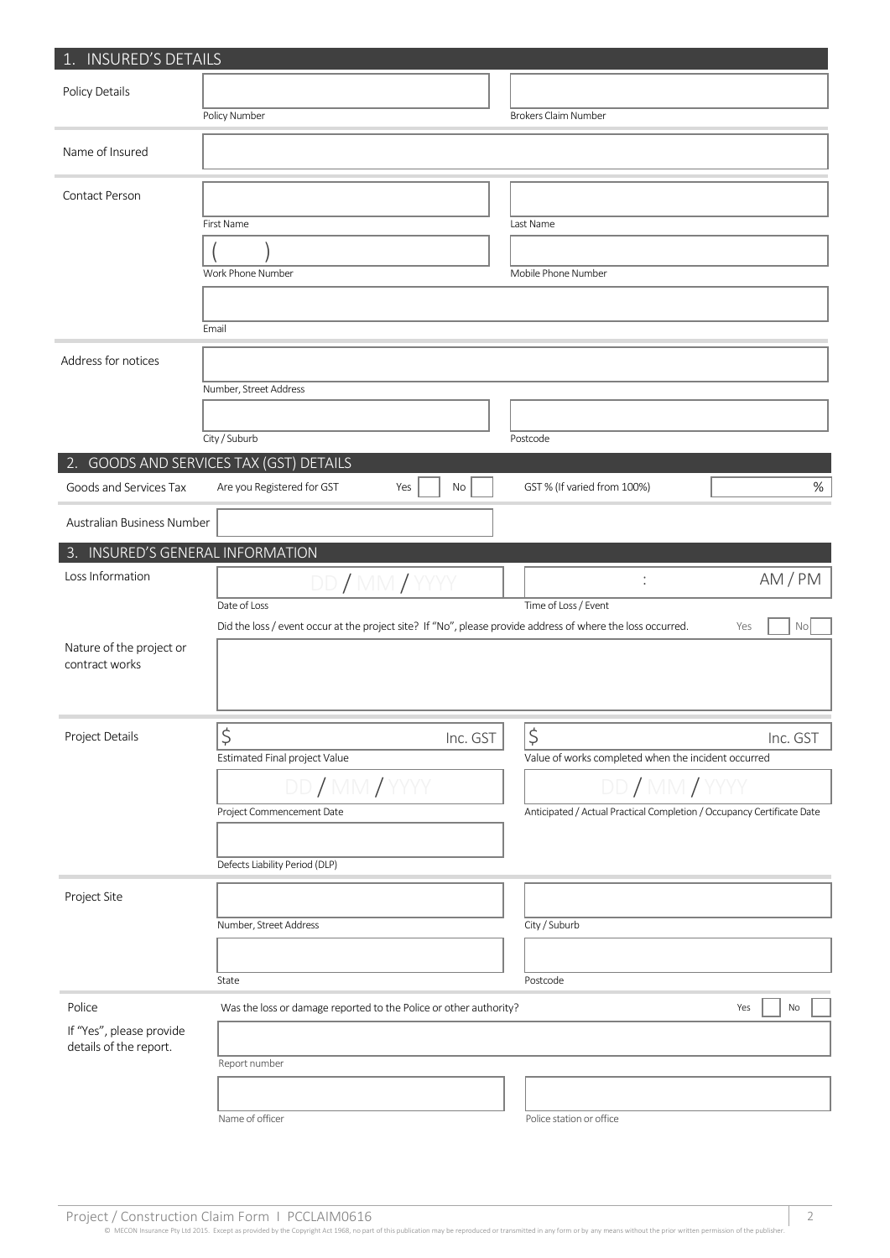| 1. INSURED'S DETAILS                       |                                                                                                                             |                                                                        |  |  |
|--------------------------------------------|-----------------------------------------------------------------------------------------------------------------------------|------------------------------------------------------------------------|--|--|
| Policy Details                             |                                                                                                                             |                                                                        |  |  |
|                                            | Policy Number                                                                                                               | <b>Brokers Claim Number</b>                                            |  |  |
| Name of Insured                            |                                                                                                                             |                                                                        |  |  |
| Contact Person                             |                                                                                                                             |                                                                        |  |  |
|                                            | First Name                                                                                                                  | Last Name                                                              |  |  |
|                                            |                                                                                                                             |                                                                        |  |  |
|                                            | Work Phone Number                                                                                                           | Mobile Phone Number                                                    |  |  |
|                                            |                                                                                                                             |                                                                        |  |  |
|                                            | Email                                                                                                                       |                                                                        |  |  |
| Address for notices                        |                                                                                                                             |                                                                        |  |  |
|                                            | Number, Street Address                                                                                                      |                                                                        |  |  |
|                                            |                                                                                                                             |                                                                        |  |  |
|                                            | City / Suburb                                                                                                               | Postcode                                                               |  |  |
|                                            | 2. GOODS AND SERVICES TAX (GST) DETAILS                                                                                     |                                                                        |  |  |
| Goods and Services Tax                     | Are you Registered for GST<br>Yes<br>No                                                                                     | $\%$<br>GST % (If varied from 100%)                                    |  |  |
| Australian Business Number                 |                                                                                                                             |                                                                        |  |  |
| 3. INSURED'S GENERAL INFORMATION           |                                                                                                                             |                                                                        |  |  |
| Loss Information                           | DD / MM / Y                                                                                                                 | AM/PM<br>÷                                                             |  |  |
|                                            | Date of Loss<br>Did the loss / event occur at the project site? If "No", please provide address of where the loss occurred. | Time of Loss / Event<br>Yes<br>No                                      |  |  |
| Nature of the project or<br>contract works |                                                                                                                             |                                                                        |  |  |
| Project Details                            | $\boldsymbol{\zeta}$<br>Inc. GST                                                                                            | $\frac{1}{2}$<br>Inc. GST                                              |  |  |
|                                            | Estimated Final project Value                                                                                               | Value of works completed when the incident occurred                    |  |  |
|                                            | DD / MM / YYYY                                                                                                              | DD/MM/Y                                                                |  |  |
|                                            | Project Commencement Date                                                                                                   | Anticipated / Actual Practical Completion / Occupancy Certificate Date |  |  |
|                                            |                                                                                                                             |                                                                        |  |  |
|                                            | Defects Liability Period (DLP)                                                                                              |                                                                        |  |  |
| Project Site                               |                                                                                                                             |                                                                        |  |  |
|                                            | Number, Street Address                                                                                                      | City / Suburb                                                          |  |  |
|                                            |                                                                                                                             |                                                                        |  |  |
|                                            | State                                                                                                                       | Postcode                                                               |  |  |
| Police                                     | Was the loss or damage reported to the Police or other authority?                                                           | Yes<br>No                                                              |  |  |
| If "Yes", please provide                   |                                                                                                                             |                                                                        |  |  |
| details of the report.                     | Report number                                                                                                               |                                                                        |  |  |
|                                            |                                                                                                                             |                                                                        |  |  |
|                                            | Name of officer                                                                                                             | Police station or office                                               |  |  |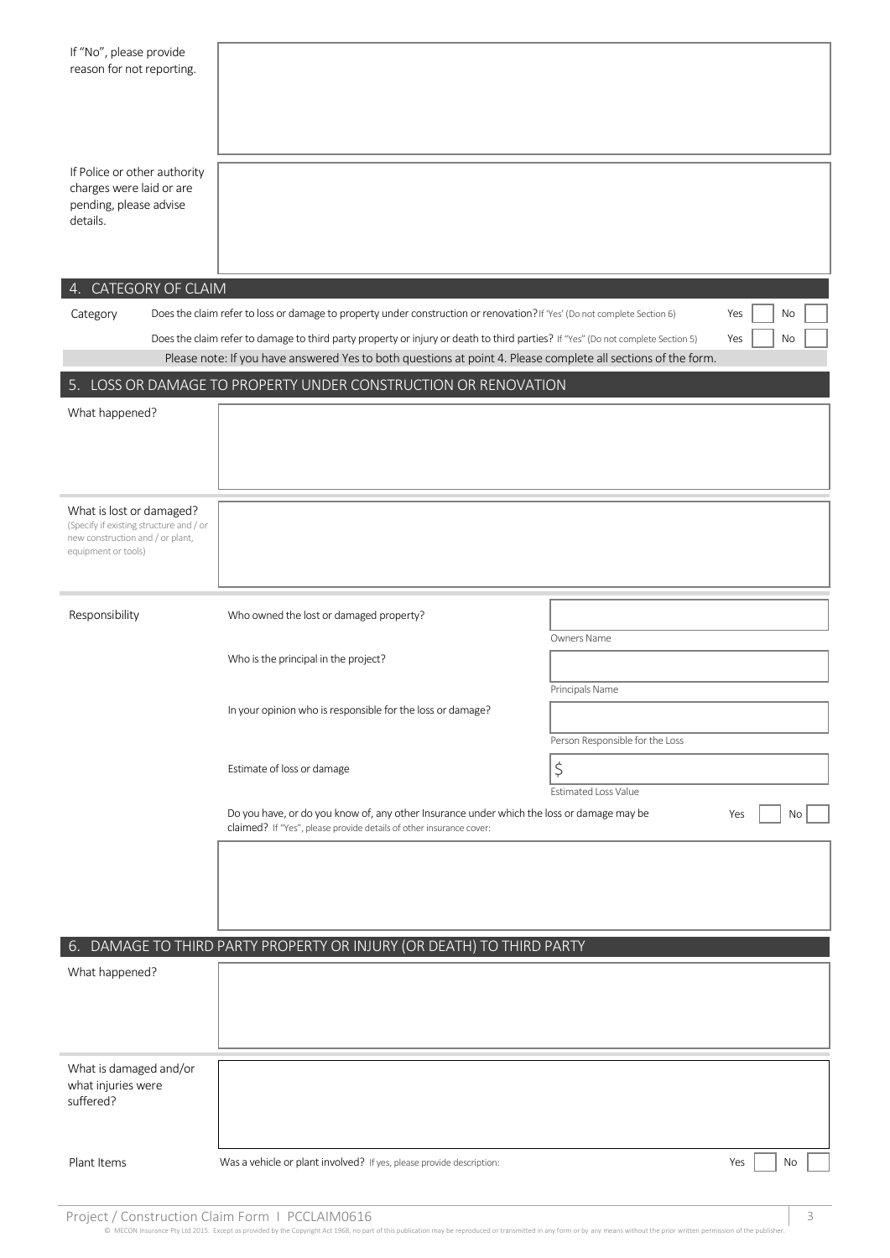| If "No", please provide<br>reason for not reporting.                                           |                                                                                                                                                                                                                                                   |                                 |     |    |  |
|------------------------------------------------------------------------------------------------|---------------------------------------------------------------------------------------------------------------------------------------------------------------------------------------------------------------------------------------------------|---------------------------------|-----|----|--|
|                                                                                                |                                                                                                                                                                                                                                                   |                                 |     |    |  |
| If Police or other authority<br>charges were laid or are<br>pending, please advise<br>details. |                                                                                                                                                                                                                                                   |                                 |     |    |  |
|                                                                                                |                                                                                                                                                                                                                                                   |                                 |     |    |  |
| 4. CATEGORY OF CLAIM                                                                           |                                                                                                                                                                                                                                                   |                                 |     |    |  |
| Category                                                                                       | Does the claim refer to loss or damage to property under construction or renovation? If 'Yes' (Do not complete Section 6)                                                                                                                         |                                 | Yes | No |  |
|                                                                                                | Does the claim refer to damage to third party property or injury or death to third parties? If "Yes" (Do not complete Section 5)<br>Please note: If you have answered Yes to both questions at point 4. Please complete all sections of the form. |                                 | Yes | No |  |
|                                                                                                | 5. LOSS OR DAMAGE TO PROPERTY UNDER CONSTRUCTION OR RENOVATION                                                                                                                                                                                    |                                 |     |    |  |
| What happened?                                                                                 |                                                                                                                                                                                                                                                   |                                 |     |    |  |
|                                                                                                |                                                                                                                                                                                                                                                   |                                 |     |    |  |
|                                                                                                |                                                                                                                                                                                                                                                   |                                 |     |    |  |
|                                                                                                |                                                                                                                                                                                                                                                   |                                 |     |    |  |
| What is lost or damaged?                                                                       |                                                                                                                                                                                                                                                   |                                 |     |    |  |
| (Specify if existing structure and / or<br>new construction and / or plant,                    |                                                                                                                                                                                                                                                   |                                 |     |    |  |
| equipment or tools)                                                                            |                                                                                                                                                                                                                                                   |                                 |     |    |  |
|                                                                                                |                                                                                                                                                                                                                                                   |                                 |     |    |  |
| Responsibility                                                                                 | Who owned the lost or damaged property?                                                                                                                                                                                                           |                                 |     |    |  |
|                                                                                                |                                                                                                                                                                                                                                                   | Owners Name                     |     |    |  |
|                                                                                                | Who is the principal in the project?                                                                                                                                                                                                              |                                 |     |    |  |
|                                                                                                |                                                                                                                                                                                                                                                   | Principals Name                 |     |    |  |
|                                                                                                | In your opinion who is responsible for the loss or damage?                                                                                                                                                                                        |                                 |     |    |  |
|                                                                                                |                                                                                                                                                                                                                                                   | Person Responsible for the Loss |     |    |  |
|                                                                                                | Estimate of loss or damage                                                                                                                                                                                                                        | \$                              |     |    |  |
|                                                                                                |                                                                                                                                                                                                                                                   | <b>Estimated Loss Value</b>     |     |    |  |
|                                                                                                | Do you have, or do you know of, any other Insurance under which the loss or damage may be<br>claimed? If "Yes", please provide details of other insurance cover:                                                                                  |                                 |     | No |  |
|                                                                                                |                                                                                                                                                                                                                                                   |                                 |     |    |  |
|                                                                                                |                                                                                                                                                                                                                                                   |                                 |     |    |  |
|                                                                                                |                                                                                                                                                                                                                                                   |                                 |     |    |  |
|                                                                                                | 6. DAMAGE TO THIRD PARTY PROPERTY OR INJURY (OR DEATH) TO THIRD PARTY                                                                                                                                                                             |                                 |     |    |  |
| What happened?                                                                                 |                                                                                                                                                                                                                                                   |                                 |     |    |  |
|                                                                                                |                                                                                                                                                                                                                                                   |                                 |     |    |  |
|                                                                                                |                                                                                                                                                                                                                                                   |                                 |     |    |  |
|                                                                                                |                                                                                                                                                                                                                                                   |                                 |     |    |  |
| What is damaged and/or                                                                         |                                                                                                                                                                                                                                                   |                                 |     |    |  |
| what injuries were<br>suffered?                                                                |                                                                                                                                                                                                                                                   |                                 |     |    |  |
|                                                                                                |                                                                                                                                                                                                                                                   |                                 |     |    |  |
|                                                                                                |                                                                                                                                                                                                                                                   |                                 |     |    |  |
| Plant Items                                                                                    | Was a vehicle or plant involved? If yes, please provide description:                                                                                                                                                                              |                                 | Yes | No |  |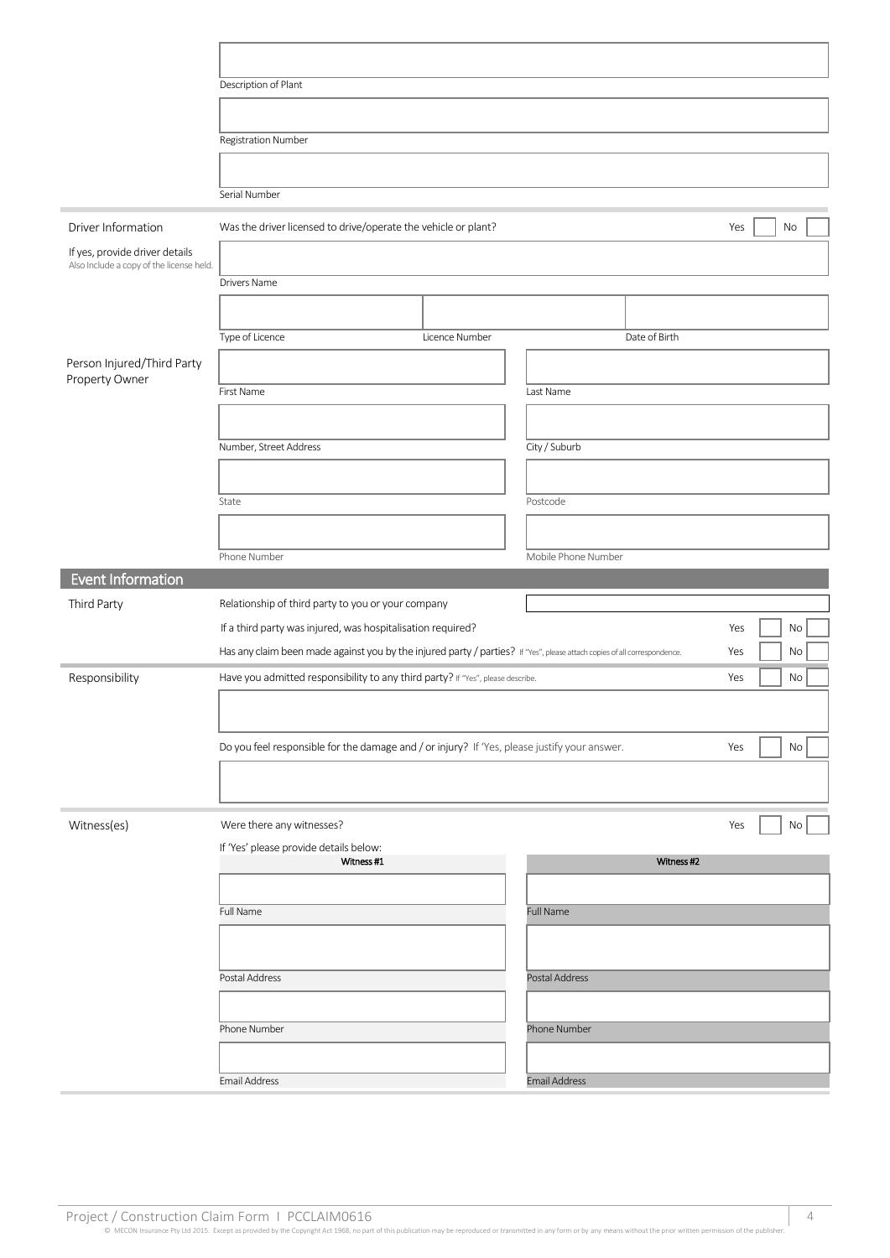|                                                                            | Description of Plant                                                                                                                                                                                         |                |                      |                        |
|----------------------------------------------------------------------------|--------------------------------------------------------------------------------------------------------------------------------------------------------------------------------------------------------------|----------------|----------------------|------------------------|
|                                                                            |                                                                                                                                                                                                              |                |                      |                        |
|                                                                            | <b>Registration Number</b>                                                                                                                                                                                   |                |                      |                        |
|                                                                            |                                                                                                                                                                                                              |                |                      |                        |
|                                                                            | Serial Number                                                                                                                                                                                                |                |                      |                        |
|                                                                            |                                                                                                                                                                                                              |                |                      |                        |
| Driver Information                                                         | Was the driver licensed to drive/operate the vehicle or plant?                                                                                                                                               | Yes<br>No      |                      |                        |
| If yes, provide driver details<br>Also Include a copy of the license held. |                                                                                                                                                                                                              |                |                      |                        |
|                                                                            | Drivers Name                                                                                                                                                                                                 |                |                      |                        |
|                                                                            |                                                                                                                                                                                                              |                |                      |                        |
|                                                                            | Type of Licence                                                                                                                                                                                              | Licence Number | Date of Birth        |                        |
| Person Injured/Third Party<br>Property Owner                               |                                                                                                                                                                                                              |                |                      |                        |
|                                                                            | First Name                                                                                                                                                                                                   |                | Last Name            |                        |
|                                                                            |                                                                                                                                                                                                              |                |                      |                        |
|                                                                            | Number, Street Address                                                                                                                                                                                       |                | City / Suburb        |                        |
|                                                                            |                                                                                                                                                                                                              |                |                      |                        |
|                                                                            |                                                                                                                                                                                                              |                |                      |                        |
|                                                                            | State                                                                                                                                                                                                        |                | Postcode             |                        |
|                                                                            |                                                                                                                                                                                                              |                |                      |                        |
|                                                                            | Phone Number                                                                                                                                                                                                 |                | Mobile Phone Number  |                        |
| <b>Event Information</b>                                                   |                                                                                                                                                                                                              |                |                      |                        |
| Third Party                                                                | Relationship of third party to you or your company                                                                                                                                                           |                |                      |                        |
|                                                                            | If a third party was injured, was hospitalisation required?                                                                                                                                                  |                |                      | Yes<br>No<br>No<br>Yes |
|                                                                            | Has any claim been made against you by the injured party / parties? If "Yes", please attach copies of all correspondence.<br>Have you admitted responsibility to any third party? If "Yes", please describe. |                |                      |                        |
| Responsibility                                                             |                                                                                                                                                                                                              |                |                      | No<br>Yes              |
|                                                                            |                                                                                                                                                                                                              |                |                      |                        |
|                                                                            | Do you feel responsible for the damage and / or injury? If 'Yes, please justify your answer.                                                                                                                 |                |                      | $\mathsf{No}$<br>Yes   |
|                                                                            |                                                                                                                                                                                                              |                |                      |                        |
|                                                                            |                                                                                                                                                                                                              |                |                      |                        |
| Witness(es)                                                                | Were there any witnesses?                                                                                                                                                                                    |                |                      | Yes<br>No              |
|                                                                            | If 'Yes' please provide details below:                                                                                                                                                                       |                |                      |                        |
|                                                                            | Witness #1                                                                                                                                                                                                   |                | Witness #2           |                        |
|                                                                            |                                                                                                                                                                                                              |                |                      |                        |
|                                                                            | Full Name                                                                                                                                                                                                    |                | <b>Full Name</b>     |                        |
|                                                                            |                                                                                                                                                                                                              |                |                      |                        |
|                                                                            | Postal Address                                                                                                                                                                                               |                | Postal Address       |                        |
|                                                                            |                                                                                                                                                                                                              |                |                      |                        |
|                                                                            |                                                                                                                                                                                                              |                |                      |                        |
|                                                                            |                                                                                                                                                                                                              |                |                      |                        |
|                                                                            | Phone Number                                                                                                                                                                                                 |                | Phone Number         |                        |
|                                                                            | <b>Email Address</b>                                                                                                                                                                                         |                | <b>Email Address</b> |                        |